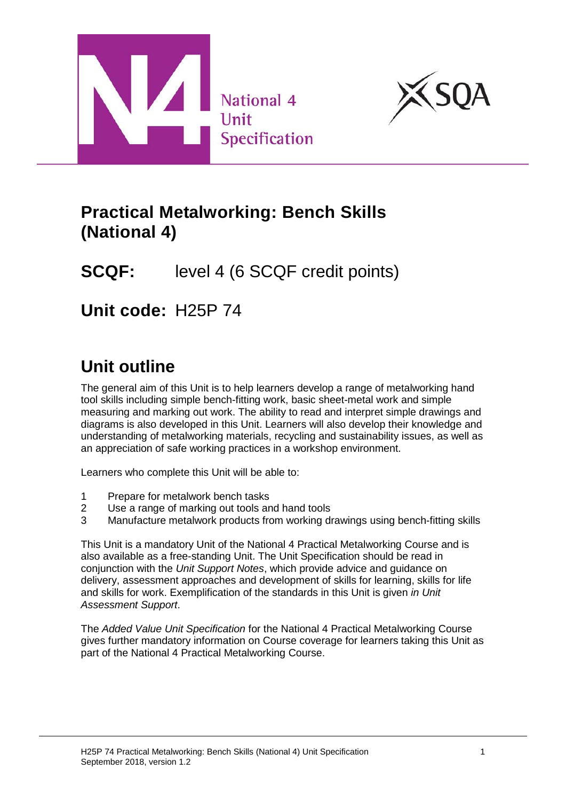



## **Practical Metalworking: Bench Skills (National 4)**

# **SCQF:** level 4 (6 SCQF credit points)

**Unit code:** H25P 74

# **Unit outline**

The general aim of this Unit is to help learners develop a range of metalworking hand tool skills including simple bench-fitting work, basic sheet-metal work and simple measuring and marking out work. The ability to read and interpret simple drawings and diagrams is also developed in this Unit. Learners will also develop their knowledge and understanding of metalworking materials, recycling and sustainability issues, as well as an appreciation of safe working practices in a workshop environment.

Learners who complete this Unit will be able to:

- 1 Prepare for metalwork bench tasks
- 2 Use a range of marking out tools and hand tools
- 3 Manufacture metalwork products from working drawings using bench-fitting skills

This Unit is a mandatory Unit of the National 4 Practical Metalworking Course and is also available as a free-standing Unit. The Unit Specification should be read in conjunction with the *Unit Support Notes*, which provide advice and guidance on delivery, assessment approaches and development of skills for learning, skills for life and skills for work. Exemplification of the standards in this Unit is given *in Unit Assessment Support*.

The *Added Value Unit Specification* for the National 4 Practical Metalworking Course gives further mandatory information on Course coverage for learners taking this Unit as part of the National 4 Practical Metalworking Course.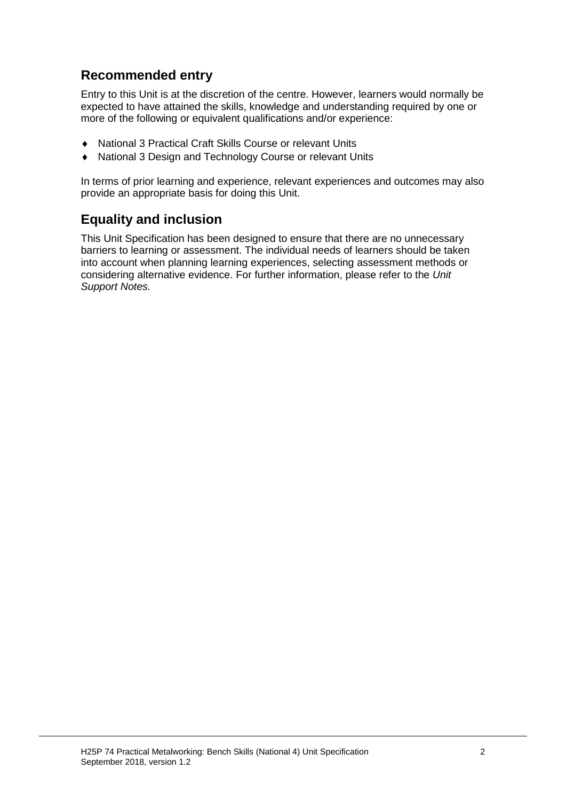### **Recommended entry**

Entry to this Unit is at the discretion of the centre. However, learners would normally be expected to have attained the skills, knowledge and understanding required by one or more of the following or equivalent qualifications and/or experience:

- ♦ National 3 Practical Craft Skills Course or relevant Units
- National 3 Design and Technology Course or relevant Units

In terms of prior learning and experience, relevant experiences and outcomes may also provide an appropriate basis for doing this Unit.

### **Equality and inclusion**

This Unit Specification has been designed to ensure that there are no unnecessary barriers to learning or assessment. The individual needs of learners should be taken into account when planning learning experiences, selecting assessment methods or considering alternative evidence. For further information, please refer to the *Unit Support Notes.*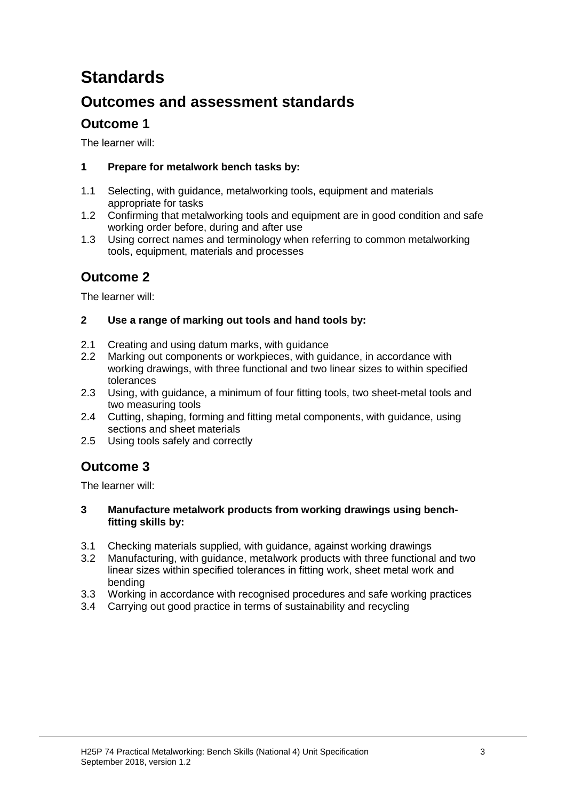# **Standards**

## **Outcomes and assessment standards**

### **Outcome 1**

The learner will:

#### **1 Prepare for metalwork bench tasks by:**

- 1.1 Selecting, with guidance, metalworking tools, equipment and materials appropriate for tasks
- 1.2 Confirming that metalworking tools and equipment are in good condition and safe working order before, during and after use
- 1.3 Using correct names and terminology when referring to common metalworking tools, equipment, materials and processes

### **Outcome 2**

The learner will:

#### **2 Use a range of marking out tools and hand tools by:**

- 2.1 Creating and using datum marks, with guidance
- 2.2 Marking out components or workpieces, with guidance, in accordance with working drawings, with three functional and two linear sizes to within specified tolerances
- 2.3 Using, with guidance, a minimum of four fitting tools, two sheet-metal tools and two measuring tools
- 2.4 Cutting, shaping, forming and fitting metal components, with guidance, using sections and sheet materials
- 2.5 Using tools safely and correctly

### **Outcome 3**

The learner will:

#### **3 Manufacture metalwork products from working drawings using benchfitting skills by:**

- 3.1 Checking materials supplied, with guidance, against working drawings
- 3.2 Manufacturing, with guidance, metalwork products with three functional and two linear sizes within specified tolerances in fitting work, sheet metal work and bending
- 3.3 Working in accordance with recognised procedures and safe working practices
- 3.4 Carrying out good practice in terms of sustainability and recycling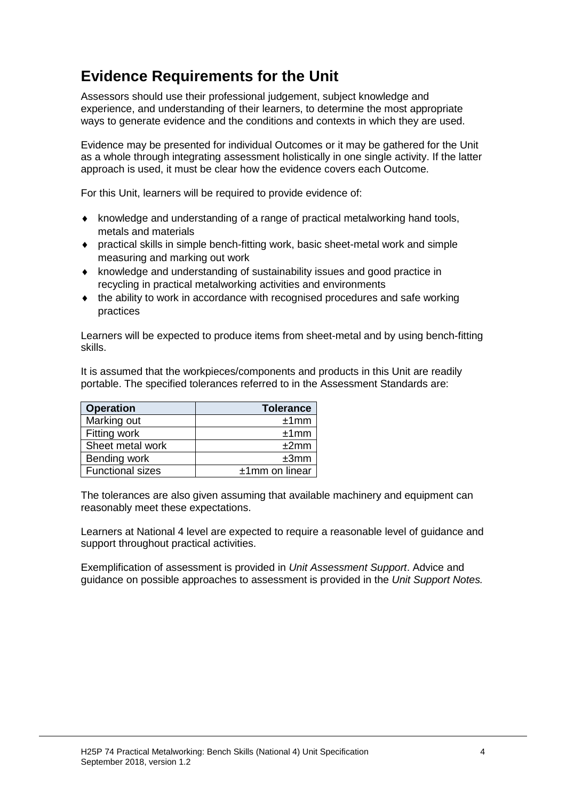## **Evidence Requirements for the Unit**

Assessors should use their professional judgement, subject knowledge and experience, and understanding of their learners, to determine the most appropriate ways to generate evidence and the conditions and contexts in which they are used.

Evidence may be presented for individual Outcomes or it may be gathered for the Unit as a whole through integrating assessment holistically in one single activity. If the latter approach is used, it must be clear how the evidence covers each Outcome.

For this Unit, learners will be required to provide evidence of:

- ♦ knowledge and understanding of a range of practical metalworking hand tools, metals and materials
- ♦ practical skills in simple bench-fitting work, basic sheet-metal work and simple measuring and marking out work
- ♦ knowledge and understanding of sustainability issues and good practice in recycling in practical metalworking activities and environments
- ♦ the ability to work in accordance with recognised procedures and safe working practices

Learners will be expected to produce items from sheet-metal and by using bench-fitting skills.

It is assumed that the workpieces/components and products in this Unit are readily portable. The specified tolerances referred to in the Assessment Standards are:

| <b>Operation</b>        | <b>Tolerance</b>  |  |
|-------------------------|-------------------|--|
| Marking out             | ±1mm              |  |
| Fitting work            | ±1mm              |  |
| Sheet metal work        | ±2mm              |  |
| Bending work            | ±3mm              |  |
| <b>Functional sizes</b> | $±1$ mm on linear |  |

The tolerances are also given assuming that available machinery and equipment can reasonably meet these expectations.

Learners at National 4 level are expected to require a reasonable level of guidance and support throughout practical activities.

Exemplification of assessment is provided in *Unit Assessment Support*. Advice and guidance on possible approaches to assessment is provided in the *Unit Support Notes.*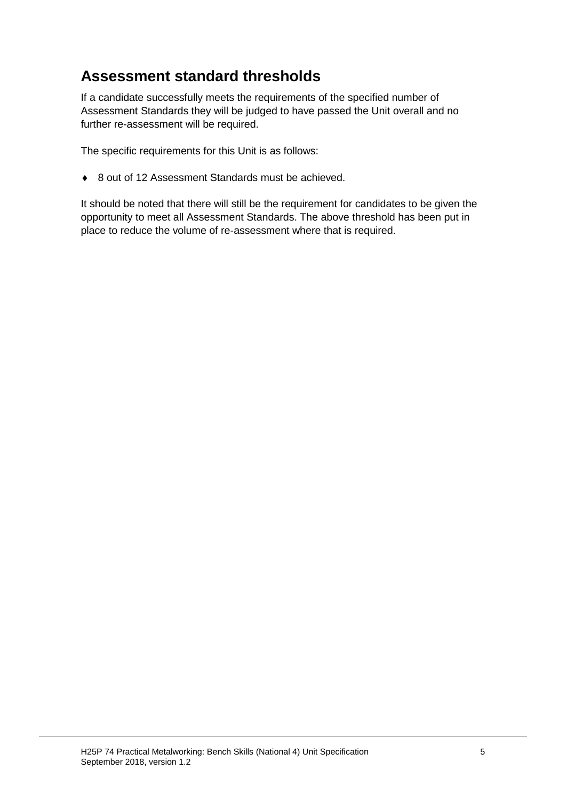## **Assessment standard thresholds**

If a candidate successfully meets the requirements of the specified number of Assessment Standards they will be judged to have passed the Unit overall and no further re-assessment will be required.

The specific requirements for this Unit is as follows:

♦ 8 out of 12 Assessment Standards must be achieved.

It should be noted that there will still be the requirement for candidates to be given the opportunity to meet all Assessment Standards. The above threshold has been put in place to reduce the volume of re-assessment where that is required.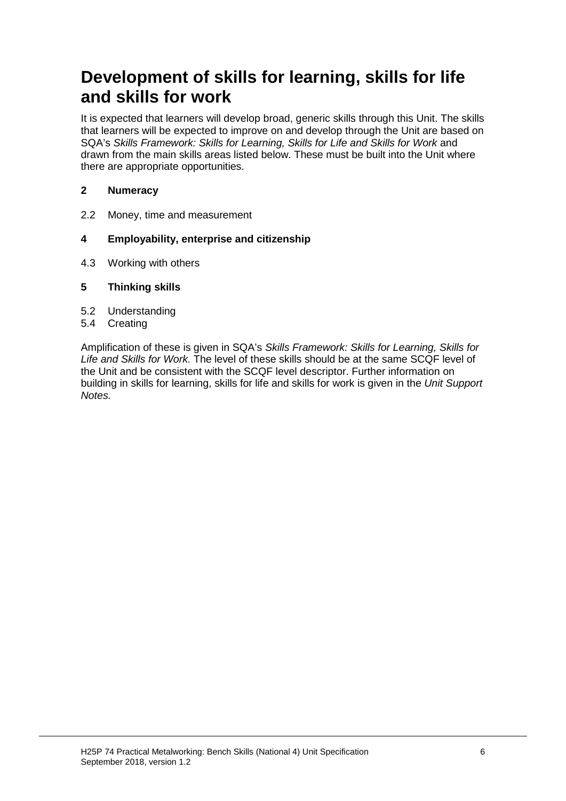## **Development of skills for learning, skills for life and skills for work**

It is expected that learners will develop broad, generic skills through this Unit. The skills that learners will be expected to improve on and develop through the Unit are based on SQA's *Skills Framework: Skills for Learning, Skills for Life and Skills for Work* and drawn from the main skills areas listed below. These must be built into the Unit where there are appropriate opportunities.

#### **2 Numeracy**

2.2 Money, time and measurement

#### **4 Employability, enterprise and citizenship**

4.3 Working with others

#### **5 Thinking skills**

- 5.2 Understanding
- 5.4 Creating

Amplification of these is given in SQA's *Skills Framework: Skills for Learning, Skills for Life and Skills for Work.* The level of these skills should be at the same SCQF level of the Unit and be consistent with the SCQF level descriptor. Further information on building in skills for learning, skills for life and skills for work is given in the *Unit Support Notes.*